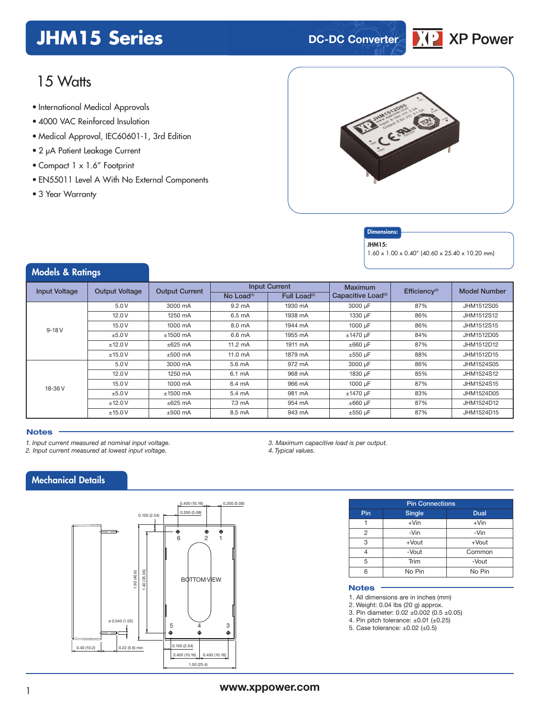## **JHM15 Series DC-DC Converter**



## 15 Watts

- **xxx Series** International Medical Approvals
- 4000 VAC Reinforced Insulation
- Medical Approval, IEC60601-1, 3rd Edition
- 2 µA Patient Leakage Current
- Compact 1 x 1.6" Footprint
- EN55011 Level A With No External Components
- 3 Year Warranty



#### **Dimensions**

#### JHM15:

1.60 x 1.00 x 0.40" (40.60 x 25.40 x 10.20 mm)

### Models & Ratings

| <b>Input Voltage</b> | <b>Output Voltage</b> | <b>Output Current</b> |                                                                                                                                                                                                                                                                                                                                                                       | <b>Input Current</b>     | <b>Maximum</b><br>Capacitive Load <sup>(3)</sup><br>87%<br>3000 µF<br>1330 µF<br>86%<br>1000 µF<br>86%<br>$±1470 \mu F$<br>84%<br>$\pm 660$ µF<br>87%<br>88%<br>$\pm 550$ µF<br>3000 µF<br>86%<br>1830 µF<br>85%<br>1000 µF<br>87%<br>$±1470$ uF<br>83% |            |
|----------------------|-----------------------|-----------------------|-----------------------------------------------------------------------------------------------------------------------------------------------------------------------------------------------------------------------------------------------------------------------------------------------------------------------------------------------------------------------|--------------------------|---------------------------------------------------------------------------------------------------------------------------------------------------------------------------------------------------------------------------------------------------------|------------|
|                      |                       |                       | No Load $(1)$                                                                                                                                                                                                                                                                                                                                                         | Full Load <sup>(2)</sup> |                                                                                                                                                                                                                                                         |            |
|                      | 5.0V                  | 3000 mA               | $9.2 \text{ mA}$                                                                                                                                                                                                                                                                                                                                                      | 1930 mA                  |                                                                                                                                                                                                                                                         | JHM1512S05 |
|                      | 12.0V                 | 1250 mA               | 6.5 mA                                                                                                                                                                                                                                                                                                                                                                | 1938 mA                  |                                                                                                                                                                                                                                                         | JHM1512S12 |
| $9-18V$              | 15.0V                 | 1000 mA               | 8.0 mA                                                                                                                                                                                                                                                                                                                                                                | 1944 mA                  |                                                                                                                                                                                                                                                         | JHM1512S15 |
|                      | ±5.0V                 | $±1500$ mA            | 6.6 mA                                                                                                                                                                                                                                                                                                                                                                | 1955 mA                  |                                                                                                                                                                                                                                                         | JHM1512D05 |
|                      | ±12.0V                | $\pm 625$ mA          | $11.2 \text{ mA}$                                                                                                                                                                                                                                                                                                                                                     | 1911 mA                  |                                                                                                                                                                                                                                                         | JHM1512D12 |
|                      | ±15.0V                | $±500$ mA             | Efficiency <sup>(4)</sup><br><b>Model Number</b><br>$11.0 \text{ mA}$<br>1879 mA<br>JHM1512D15<br>5.6 mA<br>972 mA<br>JHM1524S05<br>6.1 mA<br>968 mA<br>JHM1524S12<br>966 mA<br>JHM1524S15<br>6.4 mA<br>981 mA<br>5.4 mA<br>JHM1524D05<br>87%<br>$7.3 \text{ mA}$<br>954 mA<br>$\pm 660 \mu F$<br>JHM1524D12<br>8.5 mA<br>87%<br>943 mA<br>$\pm 550$ µF<br>JHM1524D15 |                          |                                                                                                                                                                                                                                                         |            |
|                      | 5.0V                  | 3000 mA               |                                                                                                                                                                                                                                                                                                                                                                       |                          |                                                                                                                                                                                                                                                         |            |
|                      | 12.0V                 | 1250 mA               |                                                                                                                                                                                                                                                                                                                                                                       |                          |                                                                                                                                                                                                                                                         |            |
| 18-36 V              | 15.0 V                | 1000 mA               |                                                                                                                                                                                                                                                                                                                                                                       |                          |                                                                                                                                                                                                                                                         |            |
|                      | ±5.0V                 | $±1500$ mA            |                                                                                                                                                                                                                                                                                                                                                                       |                          |                                                                                                                                                                                                                                                         |            |
|                      | ±12.0V                | $\pm 625$ mA          |                                                                                                                                                                                                                                                                                                                                                                       |                          |                                                                                                                                                                                                                                                         |            |
|                      | ±15.0V                | $±500$ mA             |                                                                                                                                                                                                                                                                                                                                                                       |                          |                                                                                                                                                                                                                                                         |            |

#### **Notes**

- *1. Input current measured at nominal input voltage.*
- *2. Input current measured at lowest input voltage.*

*3. Maximum capacitive load is per output. 4. Typical values.*

### Mechanical Details



| <b>Pin Connections</b> |               |          |  |  |  |  |
|------------------------|---------------|----------|--|--|--|--|
| Pin                    | <b>Single</b> | Dual     |  |  |  |  |
|                        | $+V$ in       | $+V$ in  |  |  |  |  |
| 2                      | -Vin          | -Vin     |  |  |  |  |
| 3                      | $+$ Vout      | $+$ Vout |  |  |  |  |
|                        | -Vout         | Common   |  |  |  |  |
| 5                      | Trim          | -Vout    |  |  |  |  |
| 6                      | No Pin        | No Pin   |  |  |  |  |

#### **Notes**

1. All dimensions are in inches (mm)

- 2. Weight: 0.04 lbs (20 g) approx.
- 3. Pin diameter: 0.02 ±0.002 (0.5 ±0.05)
- 4. Pin pitch tolerance: ±0.01 (±0.25) 5. Case tolerance: ±0.02 (±0.5)
-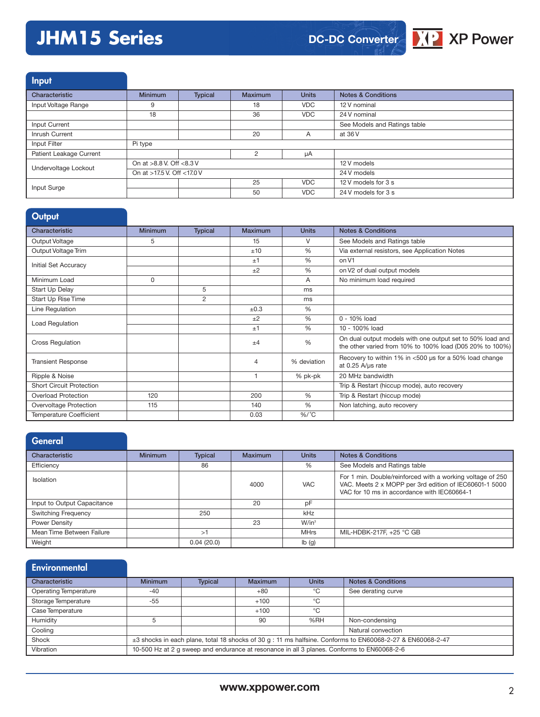# **JHM15 Series**



Input

| Characteristic          | <b>Minimum</b>               | Typical | Maximum       | <b>Units</b> | <b>Notes &amp; Conditions</b> |
|-------------------------|------------------------------|---------|---------------|--------------|-------------------------------|
| Input Voltage Range     | 9                            |         | 18            | <b>VDC</b>   | 12 V nominal                  |
|                         | 18                           |         | 36            | <b>VDC</b>   | 24 V nominal                  |
| Input Current           |                              |         |               |              | See Models and Ratings table  |
| Inrush Current          |                              |         | 20            | A            | at 36 V                       |
| Input Filter            | Pi type                      |         |               |              |                               |
| Patient Leakage Current |                              |         | $\mathcal{P}$ | μA           |                               |
| Undervoltage Lockout    | On at $>8.8$ V. Off $<8.3$ V |         |               | 12 V models  |                               |
|                         | On at >17.5 V. Off <17.0 V   |         |               |              | 24 V models                   |
| Input Surge             |                              |         | 25            | <b>VDC</b>   | 12 V models for 3 s           |
|                         |                              |         | 50            | <b>VDC</b>   | 24 V models for 3 s           |

### **Output**

| Characteristic                  | <b>Minimum</b> | <b>Typical</b> | <b>Maximum</b> | <b>Units</b> | <b>Notes &amp; Conditions</b>                                                                                         |
|---------------------------------|----------------|----------------|----------------|--------------|-----------------------------------------------------------------------------------------------------------------------|
| Output Voltage                  | 5              |                | 15             | V            | See Models and Ratings table                                                                                          |
| Output Voltage Trim             |                |                | ±10            | %            | Via external resistors, see Application Notes                                                                         |
| Initial Set Accuracy            |                |                | ±1             | %            | on V1                                                                                                                 |
|                                 |                |                | ±2             | %            | on V2 of dual output models                                                                                           |
| Minimum Load                    | $\Omega$       |                |                | A            | No minimum load required                                                                                              |
| Start Up Delay                  |                | 5              |                | ms           |                                                                                                                       |
| Start Up Rise Time              |                | 2              |                | ms           |                                                                                                                       |
| Line Regulation                 |                |                | $\pm 0.3$      | %            |                                                                                                                       |
|                                 |                |                | ±2             | %            | 0 - 10% load                                                                                                          |
| Load Regulation                 |                |                | ±1             | %            | 10 - 100% load                                                                                                        |
| <b>Cross Regulation</b>         |                |                | $+4$           | %            | On dual output models with one output set to 50% load and<br>the other varied from 10% to 100% load (D05 20% to 100%) |
| <b>Transient Response</b>       |                |                | 4              | % deviation  | Recovery to within 1% in <500 µs for a 50% load change<br>at $0.25$ A/ $\mu$ s rate                                   |
| Ripple & Noise                  |                |                |                | % pk-pk      | 20 MHz bandwidth                                                                                                      |
| <b>Short Circuit Protection</b> |                |                |                |              | Trip & Restart (hiccup mode), auto recovery                                                                           |
| Overload Protection             | 120            |                | 200            | %            | Trip & Restart (hiccup mode)                                                                                          |
| Overvoltage Protection          | 115            |                | 140            | %            | Non latching, auto recovery                                                                                           |
| <b>Temperature Coefficient</b>  |                |                | 0.03           | $\%$ /°C     |                                                                                                                       |

### **General**

| Characteristic              | <b>Minimum</b> | <b>Typical</b> | <b>Maximum</b> | <b>Units</b> | <b>Notes &amp; Conditions</b>                                                                                                                                       |
|-----------------------------|----------------|----------------|----------------|--------------|---------------------------------------------------------------------------------------------------------------------------------------------------------------------|
| Efficiency                  |                | 86             |                | %            | See Models and Ratings table                                                                                                                                        |
| <b>Isolation</b>            |                |                | 4000           | <b>VAC</b>   | For 1 min. Double/reinforced with a working voltage of 250<br>VAC. Meets 2 x MOPP per 3rd edition of IEC60601-1 5000<br>VAC for 10 ms in accordance with IEC60664-1 |
| Input to Output Capacitance |                |                | 20             | рF           |                                                                                                                                                                     |
| <b>Switching Frequency</b>  |                | 250            |                | kHz          |                                                                                                                                                                     |
| Power Density               |                |                | 23             | $W/in^3$     |                                                                                                                                                                     |
| Mean Time Between Failure   |                | >1             |                | <b>MHrs</b>  | MIL-HDBK-217F, +25 °C GB                                                                                                                                            |
| Weight                      |                | 0.04(20.0)     |                | Ib(g)        |                                                                                                                                                                     |

### **Environmental**

| Characteristic               | <b>Minimum</b>                                                                                             | <b>Typical</b> | <b>Maximum</b> | <b>Units</b> | <b>Notes &amp; Conditions</b>                                                              |  |
|------------------------------|------------------------------------------------------------------------------------------------------------|----------------|----------------|--------------|--------------------------------------------------------------------------------------------|--|
| <b>Operating Temperature</b> | $-40$                                                                                                      |                | $+80$          | °C           | See derating curve                                                                         |  |
| Storage Temperature          | $-55$                                                                                                      |                | $+100$         | °C           |                                                                                            |  |
| Case Temperature             |                                                                                                            |                | $+100$         | °C           |                                                                                            |  |
| Humidity                     |                                                                                                            |                | 90             | %RH          | Non-condensing                                                                             |  |
| Cooling                      |                                                                                                            |                |                |              | Natural convection                                                                         |  |
| Shock                        | ±3 shocks in each plane, total 18 shocks of 30 g : 11 ms halfsine. Conforms to EN60068-2-27 & EN60068-2-47 |                |                |              |                                                                                            |  |
| Vibration                    |                                                                                                            |                |                |              | 10-500 Hz at 2 q sweep and endurance at resonance in all 3 planes. Conforms to EN60068-2-6 |  |